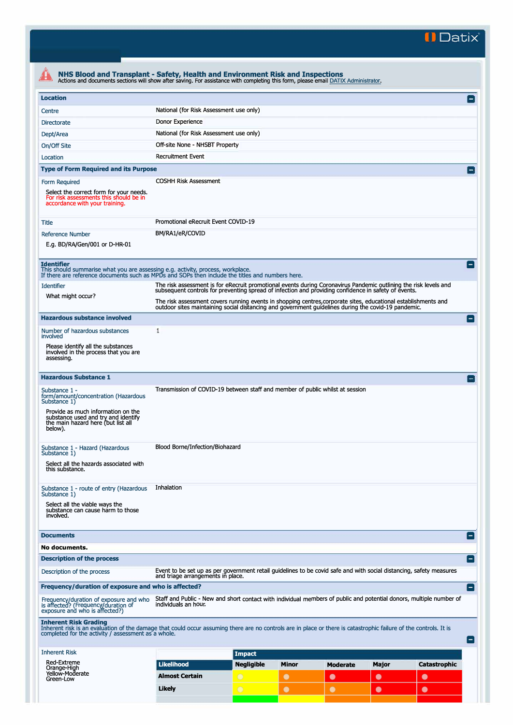**II Datix"** 

| NHS Blood and Transplant - Safety, Health and Environment Risk and Inspections<br>Actions and documents sections will show after saving. For assistance with completing this form, please email DATIX Administrator.                                                                                                                               |                                                                                                                                                          |                   |              |                 |              |                     |  |
|----------------------------------------------------------------------------------------------------------------------------------------------------------------------------------------------------------------------------------------------------------------------------------------------------------------------------------------------------|----------------------------------------------------------------------------------------------------------------------------------------------------------|-------------------|--------------|-----------------|--------------|---------------------|--|
| <b>Location</b>                                                                                                                                                                                                                                                                                                                                    |                                                                                                                                                          |                   |              |                 |              | $\Box$              |  |
| Centre                                                                                                                                                                                                                                                                                                                                             | National (for Risk Assessment use only)                                                                                                                  |                   |              |                 |              |                     |  |
| <b>Directorate</b>                                                                                                                                                                                                                                                                                                                                 | Donor Experience                                                                                                                                         |                   |              |                 |              |                     |  |
| Dept/Area                                                                                                                                                                                                                                                                                                                                          | National (for Risk Assessment use only)                                                                                                                  |                   |              |                 |              |                     |  |
| On/Off Site                                                                                                                                                                                                                                                                                                                                        | Off-site None - NHSBT Property                                                                                                                           |                   |              |                 |              |                     |  |
| Location                                                                                                                                                                                                                                                                                                                                           | <b>Recruitment Event</b>                                                                                                                                 |                   |              |                 |              |                     |  |
| <b>Type of Form Required and its Purpose</b>                                                                                                                                                                                                                                                                                                       |                                                                                                                                                          |                   |              |                 |              |                     |  |
|                                                                                                                                                                                                                                                                                                                                                    | <b>COSHH Risk Assessment</b>                                                                                                                             |                   |              |                 |              |                     |  |
| Form Required<br>Select the correct form for your needs.<br>For risk assessments this should be in<br>accordance with your training.                                                                                                                                                                                                               |                                                                                                                                                          |                   |              |                 |              |                     |  |
| Title                                                                                                                                                                                                                                                                                                                                              | Promotional eRecruit Event COVID-19                                                                                                                      |                   |              |                 |              |                     |  |
| <b>Reference Number</b>                                                                                                                                                                                                                                                                                                                            | BM/RA1/eR/COVID                                                                                                                                          |                   |              |                 |              |                     |  |
| E.g. BD/RA/Gen/001 or D-HR-01                                                                                                                                                                                                                                                                                                                      |                                                                                                                                                          |                   |              |                 |              |                     |  |
|                                                                                                                                                                                                                                                                                                                                                    |                                                                                                                                                          |                   |              |                 |              |                     |  |
| <b>Identifier</b><br>This should summarise what you are assessing e.g. activity, process, workplace.<br>If there are reference documents such as MPDs and SOPs then include the titles and numbers here.                                                                                                                                           |                                                                                                                                                          |                   |              |                 |              | $\blacksquare$      |  |
| <b>Identifier</b>                                                                                                                                                                                                                                                                                                                                  | The risk assessment is for eRecruit promotional events during Coronavirus Pandemic outlining the risk levels and                                         |                   |              |                 |              |                     |  |
| subsequent controls for preventing spread of infection and providing confidence in safety of events.<br>What might occur?<br>The risk assessment covers running events in shopping centres, corporate sites, educational establishments and<br>outdoor sites maintaining social distancing and government guidelines during the covid-19 pandemic. |                                                                                                                                                          |                   |              |                 |              |                     |  |
|                                                                                                                                                                                                                                                                                                                                                    |                                                                                                                                                          |                   |              |                 |              |                     |  |
| <b>Hazardous substance involved</b>                                                                                                                                                                                                                                                                                                                |                                                                                                                                                          |                   |              |                 |              | E                   |  |
| Number of hazardous substances<br>involved                                                                                                                                                                                                                                                                                                         | $\mathbf{1}$                                                                                                                                             |                   |              |                 |              |                     |  |
| Please identify all the substances                                                                                                                                                                                                                                                                                                                 |                                                                                                                                                          |                   |              |                 |              |                     |  |
| involved in the process that you are<br>assessing.                                                                                                                                                                                                                                                                                                 |                                                                                                                                                          |                   |              |                 |              |                     |  |
|                                                                                                                                                                                                                                                                                                                                                    |                                                                                                                                                          |                   |              |                 |              |                     |  |
| <b>Hazardous Substance 1</b>                                                                                                                                                                                                                                                                                                                       |                                                                                                                                                          |                   |              |                 |              | $-$                 |  |
| Substance 1 -                                                                                                                                                                                                                                                                                                                                      | Transmission of COVID-19 between staff and member of public whilst at session                                                                            |                   |              |                 |              |                     |  |
| form/amount/concentration (Hazardous<br>Substance 1)                                                                                                                                                                                                                                                                                               |                                                                                                                                                          |                   |              |                 |              |                     |  |
| Provide as much information on the<br>substance used and try and identify<br>the main hazard here (but list all<br>below).                                                                                                                                                                                                                         |                                                                                                                                                          |                   |              |                 |              |                     |  |
| Substance 1 - Hazard (Hazardous                                                                                                                                                                                                                                                                                                                    | Blood Borne/Infection/Biohazard                                                                                                                          |                   |              |                 |              |                     |  |
| Substance 1)                                                                                                                                                                                                                                                                                                                                       |                                                                                                                                                          |                   |              |                 |              |                     |  |
| Select all the hazards associated with<br>this substance.                                                                                                                                                                                                                                                                                          |                                                                                                                                                          |                   |              |                 |              |                     |  |
|                                                                                                                                                                                                                                                                                                                                                    |                                                                                                                                                          |                   |              |                 |              |                     |  |
| Substance 1 - route of entry (Hazardous<br>Substance 1)                                                                                                                                                                                                                                                                                            | Inhalation                                                                                                                                               |                   |              |                 |              |                     |  |
| Select all the viable ways the                                                                                                                                                                                                                                                                                                                     |                                                                                                                                                          |                   |              |                 |              |                     |  |
| substance can cause harm to those<br>involved.                                                                                                                                                                                                                                                                                                     |                                                                                                                                                          |                   |              |                 |              |                     |  |
|                                                                                                                                                                                                                                                                                                                                                    |                                                                                                                                                          |                   |              |                 |              |                     |  |
| <b>Documents</b>                                                                                                                                                                                                                                                                                                                                   |                                                                                                                                                          |                   |              |                 |              | Ξ                   |  |
| No documents.                                                                                                                                                                                                                                                                                                                                      |                                                                                                                                                          |                   |              |                 |              |                     |  |
| <b>Description of the process</b>                                                                                                                                                                                                                                                                                                                  |                                                                                                                                                          |                   |              |                 |              | E                   |  |
| Description of the process                                                                                                                                                                                                                                                                                                                         | Event to be set up as per government retail guidelines to be covid safe and with social distancing, safety measures<br>and triage arrangements in place. |                   |              |                 |              |                     |  |
| Frequency/duration of exposure and who is affected?                                                                                                                                                                                                                                                                                                |                                                                                                                                                          |                   |              |                 |              | Ξ                   |  |
| Frequency/duration of exposure and who<br>is affected? (Frequency/duration of<br>exposure and who is affected?)                                                                                                                                                                                                                                    | Staff and Public - New and short contact with individual members of public and potential donors, multiple number of<br>individuals an hour.              |                   |              |                 |              |                     |  |
| <b>Inherent Risk Grading</b><br>Inherent risk is an evaluation of the damage that could occur assuming there are no controls are in place or there is catastrophic failure of the controls. It is<br>completed for the activity / assessment as a whole.                                                                                           |                                                                                                                                                          |                   |              |                 |              | E                   |  |
| <b>Inherent Risk</b>                                                                                                                                                                                                                                                                                                                               |                                                                                                                                                          | <b>Impact</b>     |              |                 |              |                     |  |
| Red-Extreme                                                                                                                                                                                                                                                                                                                                        | <b>Likelihood</b>                                                                                                                                        | <b>Negligible</b> | <b>Minor</b> | <b>Moderate</b> | <b>Major</b> | <b>Catastrophic</b> |  |
| Orange-High<br>Yellow-Moderate                                                                                                                                                                                                                                                                                                                     | <b>Almost Certain</b>                                                                                                                                    | $\bigcirc$        | $\bullet$    | $\bullet$       |              | $\bullet$           |  |
| Green-Low                                                                                                                                                                                                                                                                                                                                          |                                                                                                                                                          |                   |              |                 | $\bullet$    |                     |  |
|                                                                                                                                                                                                                                                                                                                                                    | <b>Likely</b>                                                                                                                                            | $\bigcirc$        | $\bullet$    | $\bullet$       | $\bullet$    | $\bullet$           |  |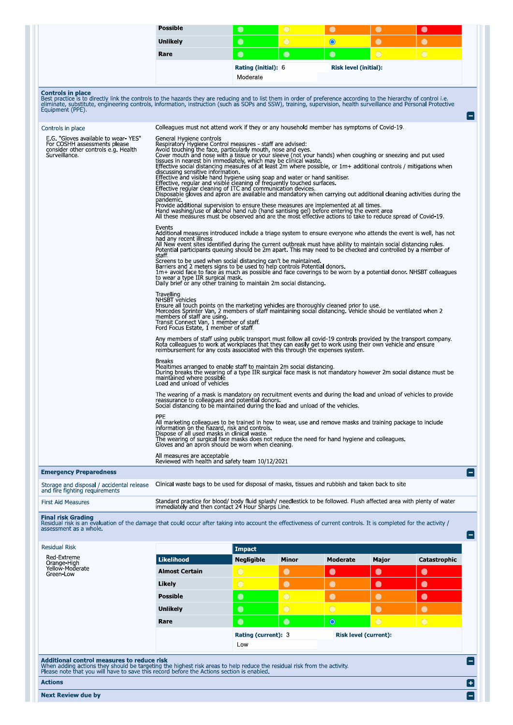| <b>Controls in place</b><br>Best practice is to directly link the controls to the hazards they are reducing and to list them in order of preference according to the hierarchy of control i.e.<br>eliminate, substitute, engineering controls, information, instruction (such as SOPs and SSW), training, supervision, health surveillance and Personal Protective<br>Equipment (PPE).<br>Controls in place<br>E.G. "Gloves available to wear-YES"<br>For COSHH assessments please<br>consider other controls e.g. Health<br>Surveillance. | Unlikely<br>Rare<br>Colleagues must not attend work if they or any household member has symptoms of Covid-19.<br>General Hygiene controls<br>Respiratory Hygiene Control measures - staff are advised:<br>Avoid touching the face, particularly mouth, nose and eyes.<br>Cover mouth and nose with a tissue or your sleeve (not your hands) when coughing or sneezing and put used<br>tissues in nearest bin immediately, which may be clinical waste.<br>Effective social distancing measures of at least 2m where possible, or 1m+ additional controls / mitigations when<br>discussing sensitive information.<br>Effective and visible hand hygiene using soap and water or hand sanitiser.<br>Effective, regular and visible cleaning of frequently touched surfaces.<br>Effective regular cleaning of ITC and communication devices.<br>Disposable gloves and apron are available and mandatory when carrying out additional cleaning activities during the<br>pandemic.<br>Provide additional supervision to ensure these measures are implemented at all times.<br>Hand washing/use of alcohol hand rub (hand santising gel) before entering the event area | $\bullet$<br>$\bullet$<br><b>Rating (initial): 6</b><br>Moderate                                             | $\bigcirc$<br>$\bullet$ | $\bullet$<br>$\bullet$<br>Risk level (initial): | $\bullet$<br>$\bigcirc$      | $\bullet$<br>$\bigcirc$ |
|--------------------------------------------------------------------------------------------------------------------------------------------------------------------------------------------------------------------------------------------------------------------------------------------------------------------------------------------------------------------------------------------------------------------------------------------------------------------------------------------------------------------------------------------|--------------------------------------------------------------------------------------------------------------------------------------------------------------------------------------------------------------------------------------------------------------------------------------------------------------------------------------------------------------------------------------------------------------------------------------------------------------------------------------------------------------------------------------------------------------------------------------------------------------------------------------------------------------------------------------------------------------------------------------------------------------------------------------------------------------------------------------------------------------------------------------------------------------------------------------------------------------------------------------------------------------------------------------------------------------------------------------------------------------------------------------------------------------------|--------------------------------------------------------------------------------------------------------------|-------------------------|-------------------------------------------------|------------------------------|-------------------------|
|                                                                                                                                                                                                                                                                                                                                                                                                                                                                                                                                            |                                                                                                                                                                                                                                                                                                                                                                                                                                                                                                                                                                                                                                                                                                                                                                                                                                                                                                                                                                                                                                                                                                                                                                    |                                                                                                              |                         |                                                 |                              |                         |
|                                                                                                                                                                                                                                                                                                                                                                                                                                                                                                                                            |                                                                                                                                                                                                                                                                                                                                                                                                                                                                                                                                                                                                                                                                                                                                                                                                                                                                                                                                                                                                                                                                                                                                                                    |                                                                                                              |                         |                                                 |                              |                         |
|                                                                                                                                                                                                                                                                                                                                                                                                                                                                                                                                            |                                                                                                                                                                                                                                                                                                                                                                                                                                                                                                                                                                                                                                                                                                                                                                                                                                                                                                                                                                                                                                                                                                                                                                    |                                                                                                              |                         |                                                 |                              |                         |
|                                                                                                                                                                                                                                                                                                                                                                                                                                                                                                                                            |                                                                                                                                                                                                                                                                                                                                                                                                                                                                                                                                                                                                                                                                                                                                                                                                                                                                                                                                                                                                                                                                                                                                                                    |                                                                                                              |                         |                                                 |                              |                         |
|                                                                                                                                                                                                                                                                                                                                                                                                                                                                                                                                            |                                                                                                                                                                                                                                                                                                                                                                                                                                                                                                                                                                                                                                                                                                                                                                                                                                                                                                                                                                                                                                                                                                                                                                    |                                                                                                              |                         |                                                 |                              |                         |
|                                                                                                                                                                                                                                                                                                                                                                                                                                                                                                                                            |                                                                                                                                                                                                                                                                                                                                                                                                                                                                                                                                                                                                                                                                                                                                                                                                                                                                                                                                                                                                                                                                                                                                                                    | All these measures must be observed and are the most effective actions to take to reduce spread of Covid-19. |                         |                                                 |                              |                         |
|                                                                                                                                                                                                                                                                                                                                                                                                                                                                                                                                            | Events<br>Additional measures introduced include a triage system to ensure everyone who attends the event is well, has not<br>had any recent illness<br>All New event sites identified during the current outbreak must have ability to maintain social distancing rules<br>Potential participants queuing should be 2m apart. This may need to be checked and controlled by a member of<br>staff                                                                                                                                                                                                                                                                                                                                                                                                                                                                                                                                                                                                                                                                                                                                                                  |                                                                                                              |                         |                                                 |                              |                         |
|                                                                                                                                                                                                                                                                                                                                                                                                                                                                                                                                            | Screens to be used when social distancing can't be maintained.<br>Barriers and 2 meters signs to be used to help controls Potential donors.<br>1m+ avoid face to face as much as possible and face coverings to be worn by a potential donor. NHSBT colleagues<br>to wear a type IIR surgical mask.<br>Daily brief or any other training to maintain 2m social distancing.                                                                                                                                                                                                                                                                                                                                                                                                                                                                                                                                                                                                                                                                                                                                                                                         |                                                                                                              |                         |                                                 |                              |                         |
|                                                                                                                                                                                                                                                                                                                                                                                                                                                                                                                                            | Travelling<br>NHSBT vehicles<br>Ensure all touch points on the marketing vehicles are thoroughly cleaned prior to use.<br>Mercedes Sprinter Van, 2 members of staff maintaining social distancing. Vehicle should be ventilated when 2<br>members of staff are using.<br>Transit Connect Van, 1 member of staff.<br>Ford Focus Estate, 1 member of staff.                                                                                                                                                                                                                                                                                                                                                                                                                                                                                                                                                                                                                                                                                                                                                                                                          |                                                                                                              |                         |                                                 |                              |                         |
|                                                                                                                                                                                                                                                                                                                                                                                                                                                                                                                                            | Any members of staff using public transport must follow all covid-19 controls provided by the transport company<br>Rota colleagues to work at workplaces that they can easily get to work using their own vehicle and ensure reimbursement for any costs associated with this through the expenses system.                                                                                                                                                                                                                                                                                                                                                                                                                                                                                                                                                                                                                                                                                                                                                                                                                                                         |                                                                                                              |                         |                                                 |                              |                         |
|                                                                                                                                                                                                                                                                                                                                                                                                                                                                                                                                            | <b>Breaks</b><br>Mealtimes arranged to enable staff to maintain 2m social distancing.<br>During breaks the wearing of a type IIR surgical face mask is not mandatory however 2m social distance must be<br>maintained where possible<br>Load and unload of vehicles                                                                                                                                                                                                                                                                                                                                                                                                                                                                                                                                                                                                                                                                                                                                                                                                                                                                                                |                                                                                                              |                         |                                                 |                              |                         |
|                                                                                                                                                                                                                                                                                                                                                                                                                                                                                                                                            | The wearing of a mask is mandatory on recruitment events and during the load and unload of vehicles to provide<br>reassurance to colleagues and potential donors.<br>Social distancing to be maintained during the load and unload of the vehicles.                                                                                                                                                                                                                                                                                                                                                                                                                                                                                                                                                                                                                                                                                                                                                                                                                                                                                                                |                                                                                                              |                         |                                                 |                              |                         |
|                                                                                                                                                                                                                                                                                                                                                                                                                                                                                                                                            | PPE<br>All marketing colleagues to be trained in how to wear, use and remove masks and training package to include<br>information on the hazard, risk and controls.<br>Dispose of all used masks in clinical waste.<br>The wearing of surgical face masks does not reduce the need for hand hygiene and colleagues.<br>Gloves and an apron should be worn when cleaning.                                                                                                                                                                                                                                                                                                                                                                                                                                                                                                                                                                                                                                                                                                                                                                                           |                                                                                                              |                         |                                                 |                              |                         |
|                                                                                                                                                                                                                                                                                                                                                                                                                                                                                                                                            | All measures are acceptable<br>Reviewed with health and safety team 10/12/2021                                                                                                                                                                                                                                                                                                                                                                                                                                                                                                                                                                                                                                                                                                                                                                                                                                                                                                                                                                                                                                                                                     |                                                                                                              |                         |                                                 |                              |                         |
| <b>Emergency Preparedness</b>                                                                                                                                                                                                                                                                                                                                                                                                                                                                                                              |                                                                                                                                                                                                                                                                                                                                                                                                                                                                                                                                                                                                                                                                                                                                                                                                                                                                                                                                                                                                                                                                                                                                                                    |                                                                                                              |                         |                                                 |                              |                         |
| Storage and disposal / accidental release<br>and fire fighting requirements                                                                                                                                                                                                                                                                                                                                                                                                                                                                | Clinical waste bags to be used for disposal of masks, tissues and rubbish and taken back to site                                                                                                                                                                                                                                                                                                                                                                                                                                                                                                                                                                                                                                                                                                                                                                                                                                                                                                                                                                                                                                                                   |                                                                                                              |                         |                                                 |                              |                         |
| <b>First Aid Measures</b>                                                                                                                                                                                                                                                                                                                                                                                                                                                                                                                  | Standard practice for blood/ body fluid splash/ needlestick to be followed. Flush affected area with plenty of water                                                                                                                                                                                                                                                                                                                                                                                                                                                                                                                                                                                                                                                                                                                                                                                                                                                                                                                                                                                                                                               |                                                                                                              |                         |                                                 |                              |                         |
| <b>Final risk Grading</b><br>Residual risk is an evaluation of the damage that could occur after taking into account the effectiveness of current controls. It is completed for the activity /<br>assessment as a whole.                                                                                                                                                                                                                                                                                                                   | immediately and then contact 24 Hour Sharps Line                                                                                                                                                                                                                                                                                                                                                                                                                                                                                                                                                                                                                                                                                                                                                                                                                                                                                                                                                                                                                                                                                                                   |                                                                                                              |                         |                                                 |                              |                         |
| <b>Residual Risk</b>                                                                                                                                                                                                                                                                                                                                                                                                                                                                                                                       |                                                                                                                                                                                                                                                                                                                                                                                                                                                                                                                                                                                                                                                                                                                                                                                                                                                                                                                                                                                                                                                                                                                                                                    | <b>Impact</b>                                                                                                |                         |                                                 |                              |                         |
| Red-Extreme<br>Orange-High                                                                                                                                                                                                                                                                                                                                                                                                                                                                                                                 | <b>Likelihood</b>                                                                                                                                                                                                                                                                                                                                                                                                                                                                                                                                                                                                                                                                                                                                                                                                                                                                                                                                                                                                                                                                                                                                                  | <b>Negligible</b>                                                                                            | <b>Minor</b>            | <b>Moderate</b>                                 | Major                        | Catastrophic            |
| Yellow-Moderate<br>Green-Low                                                                                                                                                                                                                                                                                                                                                                                                                                                                                                               | <b>Almost Certain</b>                                                                                                                                                                                                                                                                                                                                                                                                                                                                                                                                                                                                                                                                                                                                                                                                                                                                                                                                                                                                                                                                                                                                              | $\bigcirc$                                                                                                   | $\bullet$               | $\bullet$                                       | $\bullet$                    | $\bullet$               |
|                                                                                                                                                                                                                                                                                                                                                                                                                                                                                                                                            | Likely                                                                                                                                                                                                                                                                                                                                                                                                                                                                                                                                                                                                                                                                                                                                                                                                                                                                                                                                                                                                                                                                                                                                                             | $\overline{O}$                                                                                               | $\bullet$               | $\bullet$                                       | $\bullet$                    | $\bullet$               |
|                                                                                                                                                                                                                                                                                                                                                                                                                                                                                                                                            | <b>Possible</b>                                                                                                                                                                                                                                                                                                                                                                                                                                                                                                                                                                                                                                                                                                                                                                                                                                                                                                                                                                                                                                                                                                                                                    | $\bullet$                                                                                                    | $\bigcirc$              | $\bullet$                                       | $\bullet$                    | $\bullet$               |
|                                                                                                                                                                                                                                                                                                                                                                                                                                                                                                                                            | <b>Unlikely</b>                                                                                                                                                                                                                                                                                                                                                                                                                                                                                                                                                                                                                                                                                                                                                                                                                                                                                                                                                                                                                                                                                                                                                    | $\bullet$                                                                                                    | $\bigcirc$              | $\bigcirc$                                      | $\bullet$                    | $\bullet$               |
|                                                                                                                                                                                                                                                                                                                                                                                                                                                                                                                                            | Rare                                                                                                                                                                                                                                                                                                                                                                                                                                                                                                                                                                                                                                                                                                                                                                                                                                                                                                                                                                                                                                                                                                                                                               | $\bullet$                                                                                                    | $\bullet$               | $\circ$                                         | $\bigcirc$                   | $\bigcirc$              |
|                                                                                                                                                                                                                                                                                                                                                                                                                                                                                                                                            |                                                                                                                                                                                                                                                                                                                                                                                                                                                                                                                                                                                                                                                                                                                                                                                                                                                                                                                                                                                                                                                                                                                                                                    | Rating (current): 3                                                                                          |                         |                                                 | <b>Risk level (current):</b> |                         |
|                                                                                                                                                                                                                                                                                                                                                                                                                                                                                                                                            |                                                                                                                                                                                                                                                                                                                                                                                                                                                                                                                                                                                                                                                                                                                                                                                                                                                                                                                                                                                                                                                                                                                                                                    |                                                                                                              |                         |                                                 |                              |                         |
|                                                                                                                                                                                                                                                                                                                                                                                                                                                                                                                                            |                                                                                                                                                                                                                                                                                                                                                                                                                                                                                                                                                                                                                                                                                                                                                                                                                                                                                                                                                                                                                                                                                                                                                                    | Low                                                                                                          |                         |                                                 |                              |                         |

듬